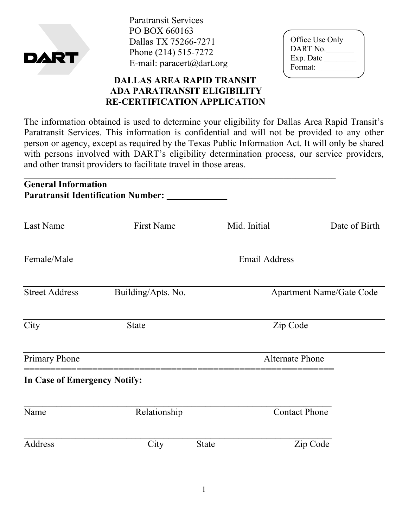

Paratransit Services PO BOX 660163 Dallas TX 75266-7271 Phone (214) 515-7272 E-mail: paracert@dart.org

| Office Use Only |  |
|-----------------|--|
| DART No.        |  |
| Exp. Date       |  |
| Format:         |  |
|                 |  |

## **DALLAS AREA RAPID TRANSIT ADA PARATRANSIT ELIGIBILITY RE-CERTIFICATION APPLICATION**

The information obtained is used to determine your eligibility for Dallas Area Rapid Transit's Paratransit Services. This information is confidential and will not be provided to any other person or agency, except as required by the Texas Public Information Act. It will only be shared with persons involved with DART's eligibility determination process, our service providers, and other transit providers to facilitate travel in those areas.

| <b>General Information</b>   | <b>Paratransit Identification Number:</b> |              |                                 |                      |  |  |
|------------------------------|-------------------------------------------|--------------|---------------------------------|----------------------|--|--|
| <b>Last Name</b>             | <b>First Name</b>                         |              | Mid. Initial                    | Date of Birth        |  |  |
| Female/Male                  |                                           |              | <b>Email Address</b>            |                      |  |  |
| <b>Street Address</b>        | Building/Apts. No.                        |              | <b>Apartment Name/Gate Code</b> |                      |  |  |
| City                         | <b>State</b>                              |              | Zip Code                        |                      |  |  |
| <b>Primary Phone</b>         |                                           |              | <b>Alternate Phone</b>          |                      |  |  |
| In Case of Emergency Notify: |                                           |              |                                 |                      |  |  |
| Name                         | Relationship                              |              |                                 | <b>Contact Phone</b> |  |  |
| Address                      | City                                      | <b>State</b> |                                 | Zip Code             |  |  |